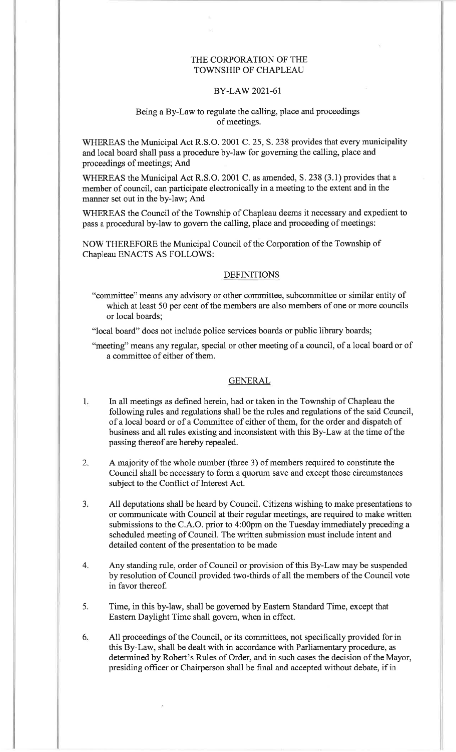# THE CORPORATION OF THETOWNSHIP OF CHAPLEAU

# BY-LAW 2021-61

### Being a By-Law to regulate the calling, place and proceedingsof meetings.

WHEREAS the Municipal Act R.S.O. 2001 C. 25, S. 238 provides that every municipalityand local board shall pass a procedure by-law for governing the calling, place andproceedings of meetings; And

WHEREAS the Municipal Act R.S.O. 2001 C. as amended, S. 238 (3.1) provides that a mernber of council, can participate electronically in a meeting to the extent and in themanner set out in the by-law; And

WHEREAS the Council of the Township of Chapleau deems it necessary and expedient topass a procedural by-law to govern the calling, place and proceeding of meetings:

NOW THEREFORE the Municipal Council of the Corporation of the Township ofChapleau ENACTS AS FOLLOWS:

### **DEFINITIONS**

- "committee" means any advisory or other committee, subcommittee or similar entity of which at least 50 per cent of the members are also members of one or more councilsor local boards;
- "local board" does not include police services boards or public library boards;

"meeting" means any regular, special or other meeting of a council, of a local board or of a committee of either of them.

#### GENERAL

- In all meetings as defined herein, had or taken in the Township of Chapleau the $1<sub>i</sub>$  following rules and regulations shall be the rules and regulations of the said Council,of a local board or of a Committee of either of them, for the order and dispatch ofbusiness and all rules existing and inconsistent with this By-Law at the time of the passing thereof are hereby repealed.
- A majority of the whole number (three 3) of members required to constitute the Council shall be necessary to form a quorum save and except those circumstancessubject to the Conflict of Interest Act.2.
- All deputations shall be heard by Council. Citizens wishing to make presentations to or communicate with Council at their regular meetings, are required to make written submissions to the C.A.O. prior to 4:00pm on the Tuesday immediately preceding ascheduled meeting of Council. The written submission must include intent anddetailed content of the presentation to be made $3<sub>z</sub>$
- Any standing rule, order of Council or provision of this By-Law may be suspended by resolution of Council provided two-thirds of all the members of the Council votein favor thereof.4.
- Time, in this by-law, shall be governed by Eastern Standard Time, except thatEastern Daylight Time shall govern, when in effect. $5.$
- All proceedings of the Council, or its committees, not specifically provided for in this By-Law, shall be dealt with in accordance with Parliamentary procedure, as determined by Robert's Rules of Order, and in such cases the decision of the Mayor,presiding officer or Chairperson shall be final and accepted without debate, if in $6.$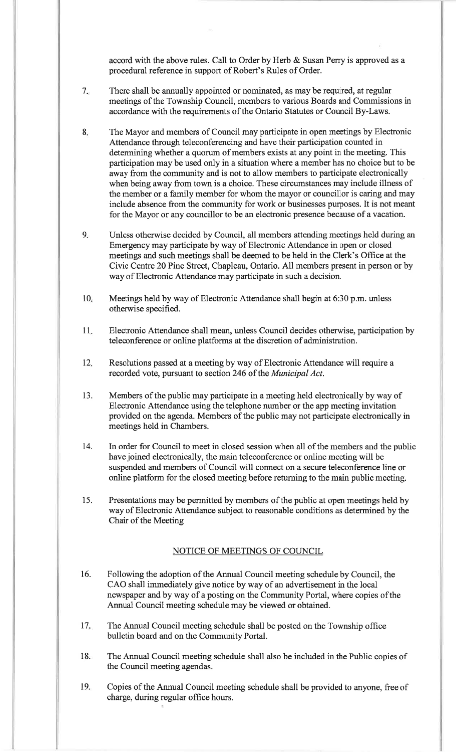accord with the above rules. Call to Order by Herb & Susan Perry is approved as aprocedural reference in support of Robert's Rules of Order.

- $7.$ There shall be annually appointed or nominated, as may be required, at regular meetings of the Township Council, members to various Boards and Commissions inaccordance with the requirements of the Ontario Statutes or Council By-Laws.
- 8The Mayor and members of Council may participate in open meetings by ElectronicAttendance through teleconferencing and have their participation counted indetermining whether a quorum of members exists at any point in the meeting. This participation may be used only in a situation where a member has no choice but to beaway from the community and is not to allow members to participate electronically when being away from town is a choice. These circumstances may include illness of the member or a family member for whom the mayor or councillor is caring and may include absence from the community for work or businesses purposes. It is not meantfor the Mayor or any councillor to be an electronic presence because of a vacation.
- Unless otherwise decided by Council, all members attending meetings held during anEmergency may participate by way of Electronic Attendance in open or closed meetings and such meetings shall be deemed to be held in the Clerk's Office at the Civic Centre 20 Pine Street, Chapleau, Ontario. All members present in person or byway of Electronic Attendance may participate in such a decision. $9<sub>1</sub>$
- Meetings held by way of Electronic Attendance shall begin at 6:30 p.m. unlessotherwise specified.10
- Electronic Attendance shall mean, unless Council decides otherwise, participation byteleconference or online platforms at the discretion of administration.11
- Resolutions passed at a meeting by way of Electronic Attendance will require arecorded vote, pursuant to section 246 of the Municipal Act. $12.$
- Members of the public may participate in a meeting held electronically by way ofElectronic Attendance using the telephone number or the app meeting invitation provided on the agenda. Mernbers of the public may not participate electronically inmeetings held in Chambers.13.
- In order for Council to meet in closed session when all of the members and the publichave joined electronically, the main teleconference or online meeting will be suspended and members of Council will connect on a secure teleconference line or online platform for the closed meeting before returning to the main public meeting.t4.
- Presentations may be permitted by members of the public at open meetings held by way of Electronic Attendance subject to reasonable conditions as determined by theChair of the Meeting15.

#### NOTICE OF MEETINGS OF COUNCIL

- Following the adoption of the Annual Council meeting schedule by Council, theCAO shall immediately give notice by way of an advertisement in the localnewspaper and by way of a posting on the Community Portal, where copies oftheAnnual Council meeting schedule may be viewed or obtained.16.
- The Annual Council meeting schedule shall be posted on the Township officebulletin board and on the Community Portal.17.
- The Annual Council meeting schedule shall also be included in the Public copies ofthe Council meeting agendas.18
- Copies of the Annual Council meeting schedule shall be provided to anyone, free ofcharge, during regular office hours.19.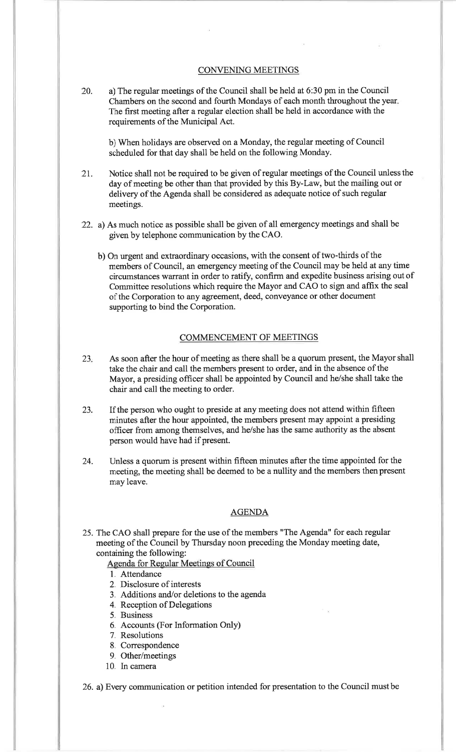#### CONVENING MEETINGS

20. a) The regular meetings of the Council shall be held at 6:30 pm in the Council Chambers on the second and fourth Mondays of each month throughout the yearThe first meeting after a regular election shall be held in accordance with the requirements of the Municipal Act.

b) When holidays are observed on a Monday, the regular meeting of Council scheduled for that day shall be held on the following Monday.

- 2t. Notice shall not be required to be given of regular meetings of the Council unless theday of meeting be other than that provided by this By-Law, but the mailing out ordelivery of the Agenda shall be considered as adequate notice of such regularmeetings.
- 22. a) As much notice as possible shall be given of all emergency meetings and shall begiven by telephone communication by the CAO.
	- b) On urgent and extraordinary occasions, with the consent of two-thirds of the members of Council, an emergency meeting of the Council may be held at any timecircumstances warrant in order to ratify, confirm and expedite business arising out of Committee resolutions which require the Mayor and CAO to sign and affix the seal of the Corporation to any agreement, deed, conveyance or other document supporting to bind the Corporation.

# COMMENCEMENT OF MEETINGS

- 23 As soon after the hour of meeting as there shall be a quorum present, the Mayor shall take the chair and call the mernbers present to order, and in the absence of the Mayor, a presiding officer shall be appointed by Council and he/she shall take thechair and call the meeting to order.
- 23 If the person who ought to preside at any meeting does not attend within fifteen minutes after the hour appointed, the mernbers present may appoint a presiding officer from among thernselves, and he/she has the same authority as the absent person would have had if present.
- Unless a quorum is present within fifteen minutes after the time appointed for themeeting, the meeting shall be deemed to be a nullity and the members then present may leave.24.

### AGENDA

25. The CAO shall prepare for the use of the members "The Agenda" for each regularmeeting of the Council by Thursday noon preceding the Monday meeting date, containing the following:

Agenda for Regular Meetings of Council

- l. Attendance
- 2. Disclosure of interests
- 3. Additions and/or deletions to the agenda
- 4. Reception of Delegations
- 5. Business
- 6. Accounts (For Information Only)
- 7. Resolutions
- 8. Correspondence
- 9. Other/meetings
- 10. In camera

26. a) Every communication or petition intended for presentation to the Council mustbe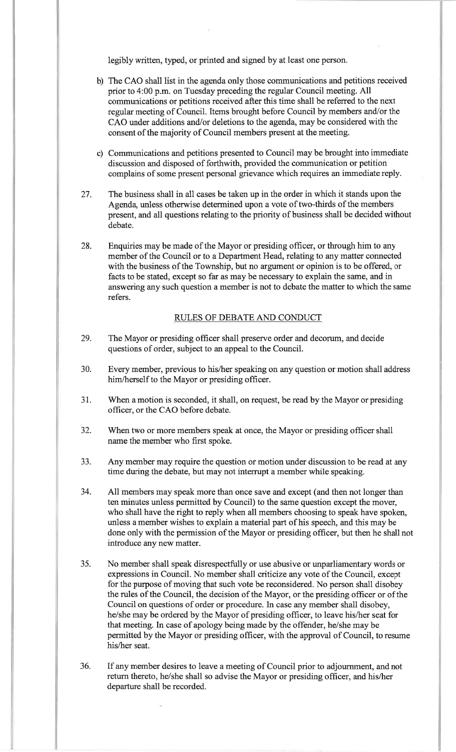legibly written, typed, or printed and signed by at least one person.

- b) The CAO shall list in the agenda only those communications and petitions receivedprior to 4:00 p.m. on Tuesday preceding the regular Council meeting. All communications or petitions received after this time shall be referred to the nextregular meeting of Council. Items brought before Council by members and/or the CAO under additions and/or deletions to the agenda, may be considered with theconsent of the majority of Council members present at the meeting.
- c) Communications and petitions presented to Council may be brought into immediatediscussion and disposed of forthwith, provided the communication or petitioncomplains of some present personal grievance which requires an immediate reply.
- $27.$ The business shall in all cases be taken up in the order in which it stands upon theAgenda, unless otherwise determined upon a vote of two-thirds of the members present, and all questions relating to the priority of business shall be decided withoutdebate.
- 28.Enquiries may be made of the Mayor or presiding officer, or through him to any member of the Council or to a Department Head, relating to any matter connected with the business of the Township, but no argument or opinion is to be offered, orfacts to be stated, except so far as may be necessary to explain the same, and in answering any such question a member is not to debate the matter to which the samerefers.

### RULES OF DEBATE AND CONDUCT

- 29.The Mayor or presiding officer shall preserve order and decorum, and decidequestions of order, subject to an appeal to the Council.
- 30.Every member, previous to his/her speaking on any question or motion shall address him/herself to the Mayor or presiding officer.
- 31.When a motion is seconded, it shall, on request, be read by the Mayor or presiding officer, or the CAO before debate.
- 32.When two or more members speak at once, the Mayor or presiding officer shallname the member who first spoke.
- JJ.Any mernber may require the question or motion under discussion to be read at anytime during the debate, but may not interrupt a member while speaking.
- 34.All members may speak more than once save and except (and then not longer thanten minutes unless permitted by Council) to the same question except the mover, who shall have the right to reply when all members choosing to speak have spoken,unless a member wishes to explain a material part of his speech, and this may be done only with the permission of the Mayor or presiding officer, but then he shall notintroduce any new matter.
- $35.$ No member shall speak disrespectfully or use abusive or unparliamentary words or expressions in Council. No member shall criticize any vote of the Council, except for the purpose of moving that such vote be reconsidered. No person shall disobey the rules of the Council, the decision of the Mayor, or the presiding officer or of theCouncil on questions of order or procedure. In case any member shall disobey, he/she may be ordered by the Mayor of presiding officer, to leave his/her seat forthat meeting. In case of apology being made by the offender, he/she may be permitted by the Mayor or presiding officer, with the approval of Council, to resumehis/her seat.
- If any mernber desires to leave a meeting of Council prior to adjournment, and notreturn thereto, he/she shall so advise the Mayor or presiding officer, and his/herdeparture shall be recorded.36.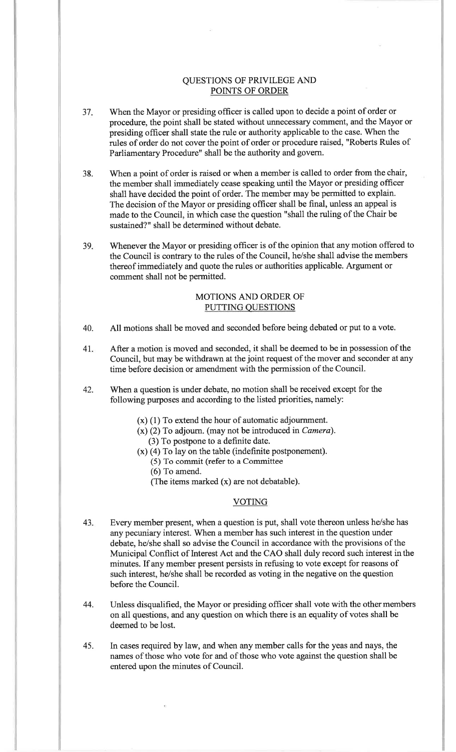# QUESTIONS OF PRIVILEGE ANDPOINTS OF ORDER

- 37 When the Mayor or presiding officer is called upon to decide a point of order or procedure, the point shall be stated without unnecessary comment, and the Mayor orpresiding officer shall state the rule or authority applicable to the case. When the rules of order do not cover the point of order or procedure raised, "Roberts Rules ofParliamentary Procedure" shall be the authority and govern.
- 38.When a point of order is raised or when a member is called to order from the chair, the member shall immediately cease speaking until the Mayor or presiding officershall have decided the point of order. The mernber maybe permitted to explain. The decision of the Mayor or presiding officer shall be final, unless an appeal is made to the Council, in which case the question "shall the ruling of the Chair besustained?" shall be determined without debate.
- $39.$  Whenever the Mayor or presiding officer is of the opinion that any motion offered to the Council is contrary to the rules of the Council, he/she shall advise the membersthereof immediately and quote the rules or authorities applicable. Argument orcomment shall not be permitted.

# MOTIONS AND ORDER OFPUTTING OUESTIONS

- 40. All motions shall be moved and seconded before being debated or put to a vote.
- After a motion is moved and seconded, it shall be deemed to be in possession of the Council, but may be withdrawn at the joint request of the mover and seconder atanytime before decision or amendment with the permission of the Council.4I
- 42.When a question is under debate, no motion shall be received except for thefollowing purposes and according to the listed priorities, namely:
	- (x) (1) To extend the hour of automatic adjournment.
	- (x) (2) To adjourn. (may not be introduced in Camera).
	- (3) To postpone to a definite date.
	- $(x)$  (4) To lay on the table (indefinite postponement).
		- (5) To commit (refer to a Committee
		- (6) To amend.
		- (The iterns marked (x) are not debatable).

#### **VOTING**

- 43Every member present, when a question is put, shall vote thereon unless he/she hasany pecuniary interest. When a member has such interest in the question under debate, he/she shall so advise the Council in accordance with the provisions of the Municipal Conflict of Interest Act and the CAO shall duly record such interest intheminutes. If any member present persists in refusing to vote except for reasons ofsuch interest, he/she shall be recorded as voting in the negative on the question before the Council.
- Unless disqualified, the Mayor or presiding officer shall vote with the other members on all questions, and any question on which there is an equality of votes shall bedeemed to be lost.44.
- In cases required by law, and when any member calls for the yeas and nays, the names of those who vote for and of those who vote against the question shall beentered upon the minutes of Council.45.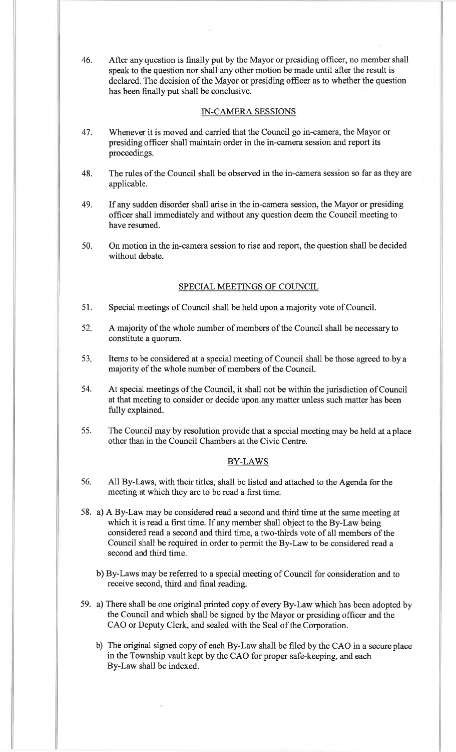46. After any question is finally put by the Mayor or presiding officer, no member shall speak to the question nor shall any other motion be made until after the result is declared. The decision of the Mayor or presiding officer as to whether the questionhas been finally put shall be conclusive.

### IN-CAMERA SESSIONS

- Whenever it is moved and carried that the Council go in-camera, the Mayor orpresiding officer shall maintain order in the in-camera session and report itsproceedings.47.
- The rules of the Council shall be observed in the in-camera session so far as they areapplicable.48.
- If any sudden disorder shall arise in the in-camera session, the Mayor or presiding officer shall immediately and without any question deem the Council meeting tohave resumed.49.
- On motion in the in-camera session to rise and report, the question shall be decidedwithout debate.50.

# SPECIAL MEETINGS OF COUNCIL

- 51. Special meetings of Council shall be held upon a majority vote of Council.
- A majority of the whole number of members of the Council shall be necessarytoconstitute a quorum. 52
- Items to be considered at a special meeting of Council shall be those agreed to byamajority of the whole number of mernbers of the Council.53
- At special meetings of the Council, it shall not be within the jurisdiction of Councilat that meeting to consider or decide upon any matter unless such matter has been fully explained.54
- The Council may by resolution provide that a special meeting may be held at aplaceother than in the Council Chambers at the Civic Centre.55

# BY-LAWS

- 56.All By-Laws, with their titles, shall be listed and attached to the Agenda forthemeeting at which they are to be read a first time.
- 58. a) A By-Law may be considered read a second and third time at the same meeting atwhich it is read a first time. If any member shall object to the By-Law being considered read a second and third time, a two-thirds vote of all members of the Council shall be required in order to permit the By-Law to be considered read asecond and third time.
	- b) By-Laws may be referred to a special meeting of Council for consideration and toreceive second, third and final reading.
- 59. a) There shall be one original printed copy of every By-Law which has been adopted bythe Council and which shall be signed by the Mayor or presiding officer and theCAO or Deputy Clerk, and sealed with the Seal of the Corporation.
	- b) The original signed copy of each By-Law shall be filed by the CAO in a secureplacein the Township vault kept by the CAO for proper safe-keeping, and eachBy-Law shall be indexed.